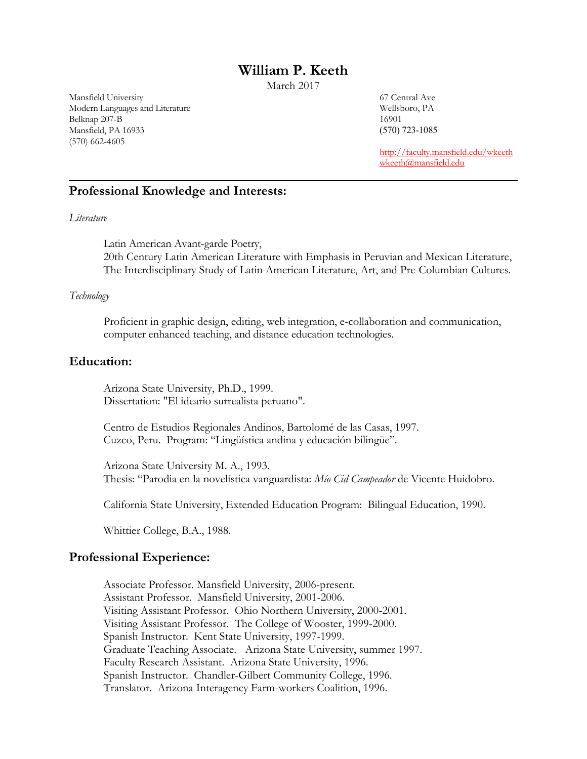# **William P. Keeth**

March 2017

Mansfield University 67 Central Ave Modern Languages and Literature Wellsboro, PA Belknap 207-B 16901 Mansfield, PA 16933 (570) 723-1085 (570) 662-4605

<http://faculty.mansfield.edu/wkeeth> [wkeeth@mansfield.edu](mailto:wkeeth@mansfield.edu)

# **Professional Knowledge and Interests:**

#### *Literature*

Latin American Avant-garde Poetry, 20th Century Latin American Literature with Emphasis in Peruvian and Mexican Literature, The Interdisciplinary Study of Latin American Literature, Art, and Pre-Columbian Cultures.

#### *Technology*

Proficient in graphic design, editing, web integration, e-collaboration and communication, computer enhanced teaching, and distance education technologies.

### **Education:**

Arizona State University, Ph.D., 1999. Dissertation: "El ideario surrealista peruano".

Centro de Estudios Regionales Andinos, Bartolomé de las Casas, 1997. Cuzco, Peru. Program: "Lingüística andina y educación bilingüe".

Arizona State University M. A., 1993. Thesis: "Parodia en la novelística vanguardista: *Mío Cid Campeador* de Vicente Huidobro.

California State University, Extended Education Program: Bilingual Education, 1990.

Whittier College, B.A., 1988.

### **Professional Experience:**

Associate Professor. Mansfield University, 2006-present. Assistant Professor. Mansfield University, 2001-2006. Visiting Assistant Professor. Ohio Northern University, 2000-2001. Visiting Assistant Professor. The College of Wooster, 1999-2000. Spanish Instructor. Kent State University, 1997-1999. Graduate Teaching Associate. Arizona State University, summer 1997. Faculty Research Assistant. Arizona State University, 1996. Spanish Instructor. Chandler-Gilbert Community College, 1996. Translator. Arizona Interagency Farm-workers Coalition, 1996.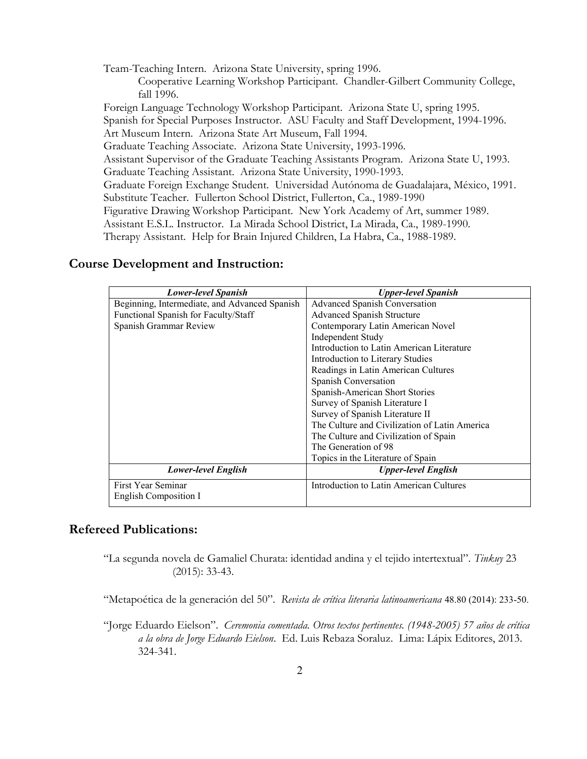Team-Teaching Intern. Arizona State University, spring 1996. Cooperative Learning Workshop Participant. Chandler-Gilbert Community College, fall 1996. Foreign Language Technology Workshop Participant. Arizona State U, spring 1995. Spanish for Special Purposes Instructor. ASU Faculty and Staff Development, 1994-1996. Art Museum Intern. Arizona State Art Museum, Fall 1994. Graduate Teaching Associate. Arizona State University, 1993-1996. Assistant Supervisor of the Graduate Teaching Assistants Program. Arizona State U, 1993. Graduate Teaching Assistant. Arizona State University, 1990-1993. Graduate Foreign Exchange Student. Universidad Autónoma de Guadalajara, México, 1991. Substitute Teacher. Fullerton School District, Fullerton, Ca., 1989-1990 Figurative Drawing Workshop Participant. New York Academy of Art, summer 1989. Assistant E.S.L. Instructor. La Mirada School District, La Mirada, Ca., 1989-1990. Therapy Assistant. Help for Brain Injured Children, La Habra, Ca., 1988-1989.

### **Course Development and Instruction:**

| <b>Lower-level Spanish</b>                    | <b>Upper-level Spanish</b>                    |
|-----------------------------------------------|-----------------------------------------------|
| Beginning, Intermediate, and Advanced Spanish | Advanced Spanish Conversation                 |
| Functional Spanish for Faculty/Staff          | Advanced Spanish Structure                    |
| Spanish Grammar Review                        | Contemporary Latin American Novel             |
|                                               | Independent Study                             |
|                                               | Introduction to Latin American Literature     |
|                                               | Introduction to Literary Studies              |
|                                               | Readings in Latin American Cultures           |
|                                               | Spanish Conversation                          |
|                                               | Spanish-American Short Stories                |
|                                               | Survey of Spanish Literature I                |
|                                               | Survey of Spanish Literature II               |
|                                               | The Culture and Civilization of Latin America |
|                                               | The Culture and Civilization of Spain         |
|                                               | The Generation of 98                          |
|                                               | Topics in the Literature of Spain             |
| Lower-level English                           | <b>Upper-level English</b>                    |
| First Year Seminar                            | Introduction to Latin American Cultures       |
| English Composition I                         |                                               |

### **Refereed Publications:**

"La segunda novela de Gamaliel Churata: identidad andina y el tejido intertextual". *Tinkuy* 23 (2015): 33-43.

"Metapoética de la generación del 50". *Revista de crítica literaria latinoamericana* 48.80 (2014): 233-50.

"Jorge Eduardo Eielson". *Ceremonia comentada. Otros textos pertinentes. (1948-2005) 57 años de crítica a la obra de Jorge Eduardo Eielson*. Ed. Luis Rebaza Soraluz. Lima: Lápix Editores, 2013. 324-341.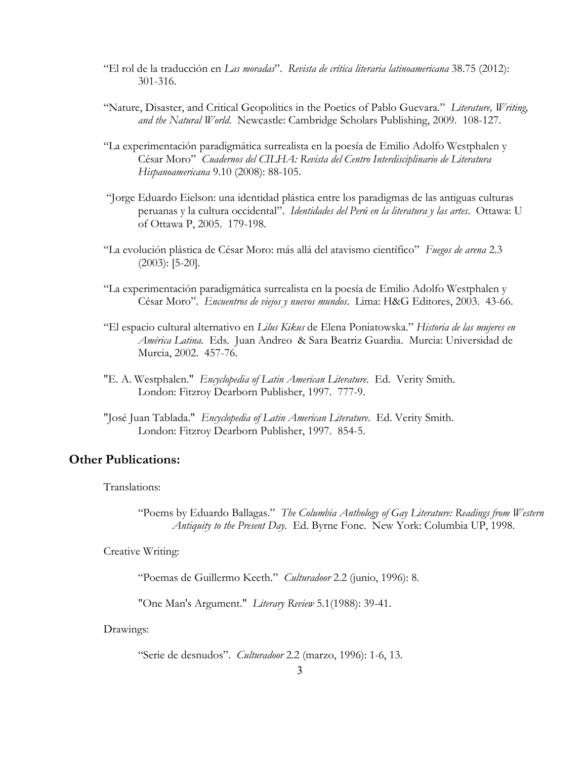- "El rol de la traducción en *Las moradas*". *Revista de crítica literaria latinoamericana* 38.75 (2012): 301-316.
- "Nature, Disaster, and Critical Geopolitics in the Poetics of Pablo Guevara." *Literature, Writing, and the Natural World*. Newcastle: Cambridge Scholars Publishing, 2009. 108-127.
- "La experimentación paradigmática surrealista en la poesía de Emilio Adolfo Westphalen y César Moro" *Cuadernos del CILHA: Revista del Centro Interdisciplinario de Literatura Hispanoamericana* 9.10 (2008): 88-105.
- "Jorge Eduardo Eielson: una identidad plástica entre los paradigmas de las antiguas culturas peruanas y la cultura occidental". *Identidades del Perú en la literatura y las artes*. Ottawa: U of Ottawa P, 2005. 179-198.
- "La evolución plástica de César Moro: más allá del atavismo científico" *Fuegos de arena* 2.3 (2003): [5-20].
- "La experimentación paradigmática surrealista en la poesía de Emilio Adolfo Westphalen y César Moro". *Encuentros de viejos y nuevos mundos*. Lima: H&G Editores, 2003. 43-66.
- "El espacio cultural alternativo en *Lilus Kikus* de Elena Poniatowska." *Historia de las mujeres en América Latina.* Eds. Juan Andreo & Sara Beatriz Guardia. Murcia: Universidad de Murcia, 2002. 457-76.
- "E. A. Westphalen." *Encyclopedia of Latin American Literature*. Ed. Verity Smith. London: Fitzroy Dearborn Publisher, 1997. 777-9.
- "José Juan Tablada." *Encyclopedia of Latin American Literature*. Ed. Verity Smith. London: Fitzroy Dearborn Publisher, 1997. 854-5.

# **Other Publications:**

Translations:

"Poems by Eduardo Ballagas." *The Columbia Anthology of Gay Literature: Readings from Western Antiquity to the Present Day.* Ed. Byrne Fone. New York: Columbia UP, 1998.

Creative Writing:

"Poemas de Guillermo Keeth." *Culturadoor* 2.2 (junio, 1996): 8.

"One Man's Argument." *Literary Review* 5.1(1988): 39-41.

Drawings:

"Serie de desnudos". *Culturadoor* 2.2 (marzo, 1996): 1-6, 13.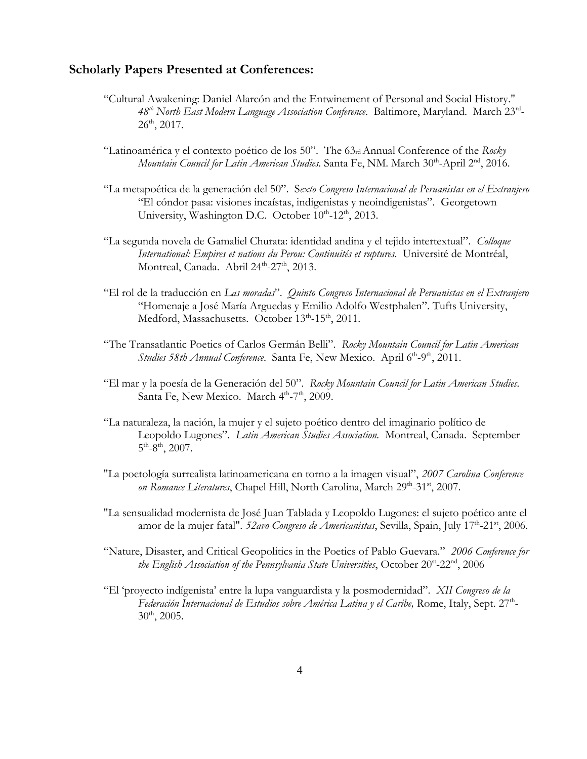### **Scholarly Papers Presented at Conferences:**

- "Cultural Awakening: Daniel Alarcón and the Entwinement of Personal and Social History." *48th North East Modern Language Association Conference*. Baltimore, Maryland. March 23rd -  $26^{\text{th}}$ , 2017.
- "Latinoamérica y el contexto poético de los 50". The 63rd Annual Conference of the *Rocky* Mountain Council for Latin American Studies. Santa Fe, NM. March 30<sup>th</sup>-April 2<sup>nd</sup>, 2016.
- "La metapoética de la generación del 50". S*exto Congreso Internacional de Peruanistas en el Extranjero*  "El cóndor pasa: visiones incaístas, indigenistas y neoindigenistas". Georgetown University, Washington D.C. October 10th-12<sup>th</sup>, 2013.
- "La segunda novela de Gamaliel Churata: identidad andina y el tejido intertextual". *Colloque International: Empires et nations du Perou: Continuités et ruptures*. Université de Montréal, Montreal, Canada. Abril 24<sup>th</sup>-27<sup>th</sup>, 2013.
- "El rol de la traducción en *Las moradas*". *Quinto Congreso Internacional de Peruanistas en el Extranjero*  "Homenaje a José María Arguedas y Emilio Adolfo Westphalen". Tufts University, Medford, Massachusetts. October 13<sup>th</sup>-15<sup>th</sup>, 2011.
- "The Transatlantic Poetics of Carlos Germán Belli". *Rocky Mountain Council for Latin American*  Studies 58th Annual Conference. Santa Fe, New Mexico. April 6<sup>th</sup>-9<sup>th</sup>, 2011.
- "El mar y la poesía de la Generación del 50". *Rocky Mountain Council for Latin American Studies.*  Santa Fe, New Mexico. March 4<sup>th</sup>-7<sup>th</sup>, 2009.
- "La naturaleza, la nación, la mujer y el sujeto poético dentro del imaginario político de Leopoldo Lugones". *Latin American Studies Association.* Montreal, Canada. September  $5^{\text{th}}$ -8<sup>th</sup>, 2007.
- "La poetología surrealista latinoamericana en torno a la imagen visual", *2007 Carolina Conference*  on Romance Literatures, Chapel Hill, North Carolina, March 29<sup>th</sup>-31<sup>st</sup>, 2007.
- "La sensualidad modernista de José Juan Tablada y Leopoldo Lugones: el sujeto poético ante el amor de la mujer fatal". *52avo Congreso de Americanistas*, Sevilla, Spain, July 17<sup>th</sup>-21<sup>st</sup>, 2006.
- "Nature, Disaster, and Critical Geopolitics in the Poetics of Pablo Guevara." *2006 Conference for*  the English Association of the Pennsylvania State Universities, October 20<sup>st</sup>-22<sup>nd</sup>, 2006
- "El 'proyecto indígenista' entre la lupa vanguardista y la posmodernidad". *XII Congreso de la*  Federación Internacional de Estudios sobre América Latina y el Caribe, Rome, Italy, Sept. 27<sup>th</sup>- $30<sup>th</sup>$ , 2005.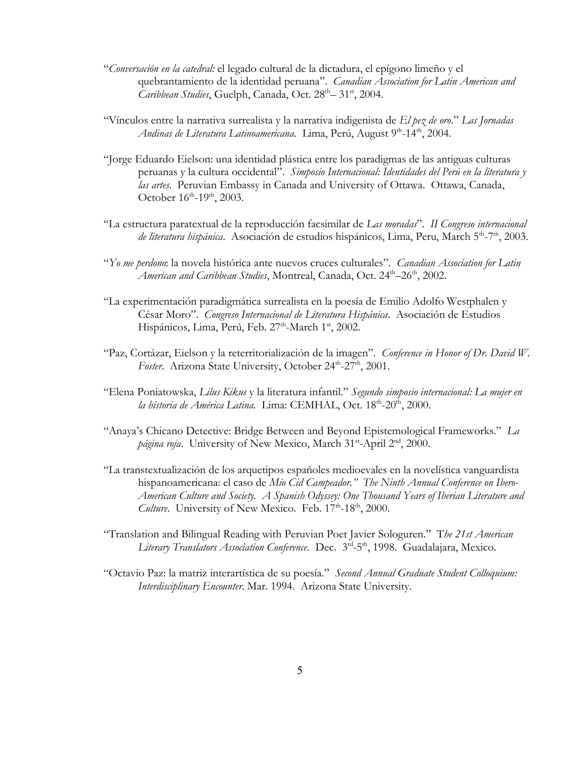- "*Conversación en la catedral:* el legado cultural de la dictadura, el epígono limeño y el quebrantamiento de la identidad peruana". *Canadian Association for Latin American and*  Caribbean Studies, Guelph, Canada, Oct. 28<sup>th</sup> - 31<sup>st</sup>, 2004.
- "Vínculos entre la narrativa surrealista y la narrativa indigenista de *El pez de oro*." *Las Jornadas Andinas de Literatura Latinoamericana*. Lima, Perú, August 9<sup>th</sup>-14<sup>th</sup>, 2004.
- "Jorge Eduardo Eielson: una identidad plástica entre los paradigmas de las antiguas culturas peruanas y la cultura occidental". *Simposio Internacional: Identidades del Perú en la literatura y las artes*. Peruvian Embassy in Canada and University of Ottawa. Ottawa, Canada, October 16<sup>th</sup>-19<sup>th</sup>, 2003.
- "La estructura paratextual de la reproducción facsimilar de *Las moradas*". *II Congreso internacional*  de literatura hispánica. Asociación de estudios hispánicos, Lima, Peru, March 5<sup>th</sup>-7<sup>th</sup>, 2003.
- "*Yo me perdono*: la novela histórica ante nuevos cruces culturales". *Canadian Association for Latin American and Caribbean Studies,* Montreal, Canada, Oct. 24<sup>th</sup>–26<sup>th</sup>, 2002.
- "La experimentación paradigmática surrealista en la poesía de Emilio Adolfo Westphalen y César Moro". *Congreso Internacional de Literatura Hispánica*. Asociación de Estudios Hispánicos, Lima, Perú, Feb. 27<sup>th</sup>-March 1<sup>st</sup>, 2002.
- "Paz, Cortázar, Eielson y la reterritorialización de la imagen". *Conference in Honor of Dr. David W.*  Foster. Arizona State University, October 24<sup>th</sup>-27<sup>th</sup>, 2001.
- "Elena Poniatowska, *Lilus Kikus* y la literatura infantil." *Segundo simposio internacional: La mujer en*  la historia de América Latina. Lima: CEMHAL, Oct. 18<sup>th</sup>-20<sup>th</sup>, 2000.
- "Anaya's Chicano Detective: Bridge Between and Beyond Epistemological Frameworks."*La*  página roja. University of New Mexico, March 31<sup>st</sup>-April 2<sup>nd</sup>, 2000.
- "La transtextualización de los arquetipos españoles medioevales en la novelística vanguardista hispanoamericana: el caso de *Mío Cid Campeador." The Ninth Annual Conference on Ibero-American Culture and Society. A Spanish Odyssey: One Thousand Years of Iberian Literature and*  Culture. University of New Mexico. Feb. 17<sup>th</sup>-18<sup>th</sup>, 2000.
- "Translation and Bilingual Reading with Peruvian Poet Javier Sologuren." T*he 21st American*  Literary Translators Association Conference. Dec. 3<sup>rd</sup>-5<sup>th</sup>, 1998. Guadalajara, Mexico.
- "Octavio Paz: la matriz interartística de su poesía." *Second Annual Graduate Student Colloquium: Interdisciplinary Encounter*. Mar. 1994. Arizona State University.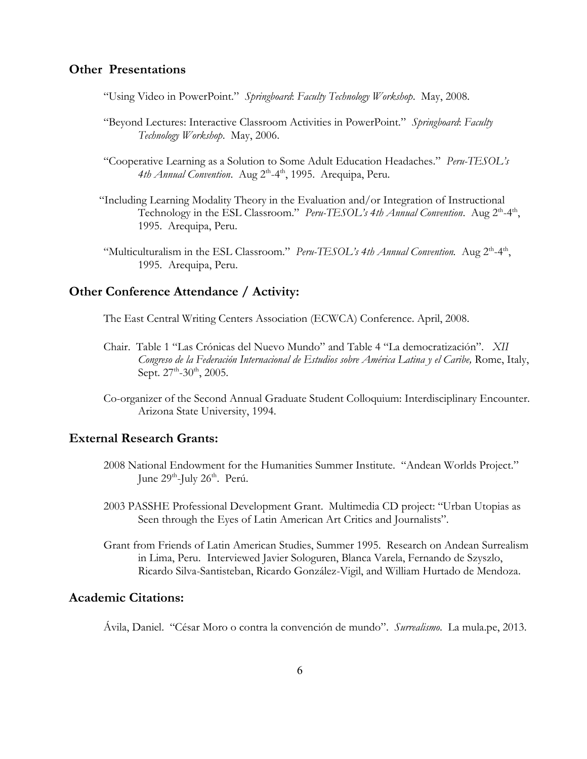### **Other Presentations**

"Using Video in PowerPoint." *Springboard*: *Faculty Technology Workshop*. May, 2008.

- "Beyond Lectures: Interactive Classroom Activities in PowerPoint." *Springboard*: *Faculty Technology Workshop*. May, 2006.
- "Cooperative Learning as a Solution to Some Adult Education Headaches." *Peru-TESOL's*  4th Annual Convention. Aug 2<sup>th</sup>-4<sup>th</sup>, 1995. Arequipa, Peru.
- "Including Learning Modality Theory in the Evaluation and/or Integration of Instructional Technology in the ESL Classroom." *Peru-TESOL's 4th Annual Convention*. Aug 2<sup>th</sup>-4<sup>th</sup>, 1995. Arequipa, Peru.
- "Multiculturalism in the ESL Classroom." *Peru-TESOL's 4th Annual Convention*. Aug 2<sup>th</sup>-4<sup>th</sup>, 1995. Arequipa, Peru.

### **Other Conference Attendance / Activity:**

The East Central Writing Centers Association (ECWCA) Conference. April, 2008.

- Chair. Table 1 "Las Crónicas del Nuevo Mundo" and Table 4 "La democratización". *XII Congreso de la Federación Internacional de Estudios sobre América Latina y el Caribe,* Rome, Italy, Sept.  $27^{\text{th}}$ -30<sup>th</sup>, 2005.
- Co-organizer of the Second Annual Graduate Student Colloquium: Interdisciplinary Encounter. Arizona State University, 1994.

### **External Research Grants:**

- 2008 National Endowment for the Humanities Summer Institute. "Andean Worlds Project." June 29<sup>th</sup>-July 26<sup>th</sup>. Perú.
- 2003 PASSHE Professional Development Grant. Multimedia CD project: "Urban Utopias as Seen through the Eyes of Latin American Art Critics and Journalists".
- Grant from Friends of Latin American Studies, Summer 1995. Research on Andean Surrealism in Lima, Peru. Interviewed Javier Sologuren, Blanca Varela, Fernando de Szyszlo, Ricardo Silva-Santisteban, Ricardo González-Vigil, and William Hurtado de Mendoza.

# **Academic Citations:**

Ávila, Daniel. "César Moro o contra la convención de mundo". *Surrealismo*. La mula.pe, 2013.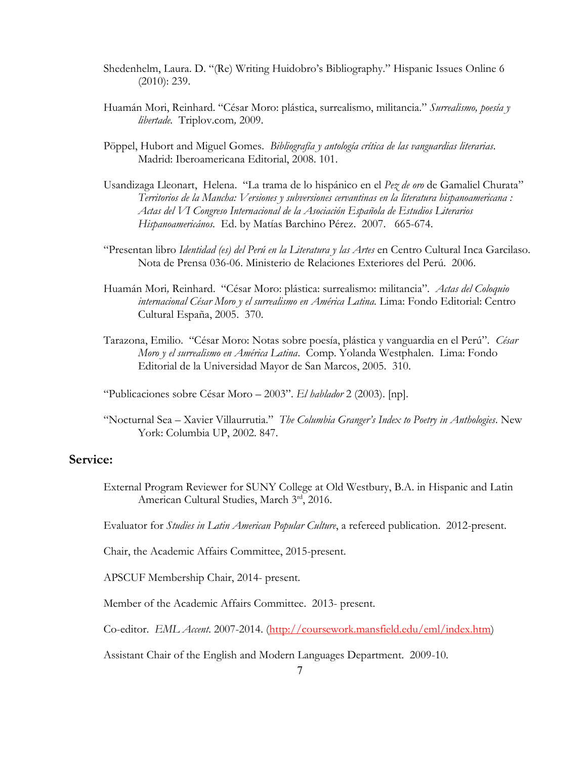- Shedenhelm, Laura. D. "(Re) Writing Huidobro's Bibliography." Hispanic Issues Online 6 (2010): 239.
- Huamán Mori, Reinhard. "César Moro: plástica, surrealismo, militancia." *Surrealismo, poesía y libertade.* Triplov.com*,* 2009.
- Pöppel, Hubort and Miguel Gomes. *Bibliografía y antología crítica de las vanguardias literarias*. Madrid: Iberoamericana Editorial, 2008. 101.
- Usandizaga Lleonart, Helena. "La trama de lo hispánico en el *Pez de oro* de Gamaliel Churata" *Territorios de la Mancha: Versiones y subversiones cervantinas en la literatura hispanoamericana : Actas del VI Congreso Internacional de la Asociación Española de Estudios Literarios Hispanoamericános.* Ed. by Matías Barchino Pérez. 2007. 665-674.
- "Presentan libro *Identidad (es) del Perú en la Literatura y las Artes* en Centro Cultural Inca Garcilaso. Nota de Prensa 036-06. Ministerio de Relaciones Exteriores del Perú. 2006.
- Huamán Mori*,* Reinhard. "César Moro: plástica: surrealismo: militancia". *Actas del Coloquio internacional César Moro y el surrealismo en América Latina.* Lima: Fondo Editorial: Centro Cultural España, 2005. 370.
- Tarazona, Emilio. "César Moro: Notas sobre poesía, plástica y vanguardia en el Perú". *César Moro y el surrealismo en América Latina*. Comp. Yolanda Westphalen. Lima: Fondo Editorial de la Universidad Mayor de San Marcos, 2005. 310.
- "Publicaciones sobre César Moro 2003". *El hablador* 2 (2003). [np].
- "Nocturnal Sea Xavier Villaurrutia." *The Columbia Granger's Index to Poetry in Anthologies*. New York: Columbia UP, 2002. 847.

# **Service:**

External Program Reviewer for SUNY College at Old Westbury, B.A. in Hispanic and Latin American Cultural Studies, March 3rd, 2016.

Evaluator for *Studies in Latin American Popular Culture*, a refereed publication. 2012-present.

Chair, the Academic Affairs Committee, 2015-present.

APSCUF Membership Chair, 2014- present.

Member of the Academic Affairs Committee. 2013- present.

Co-editor. *EML Accent*. 2007-2014. [\(http://coursework.mansfield.edu/eml/index.htm\)](http://coursework.mansfield.edu/eml/index.htm)

Assistant Chair of the English and Modern Languages Department. 2009-10.